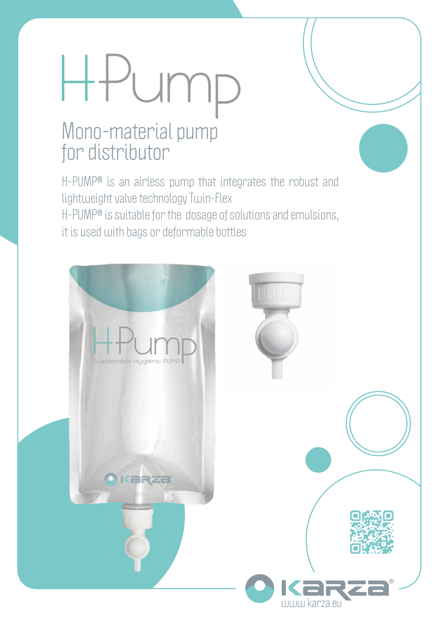# Pump  $\begin{matrix} \begin{matrix} \text{+} \text{+} \end{matrix} \end{matrix}$

### Mono-material pump for distributor

H-PUMP® is an airless pump that integrates the robust and lightweight valve technology Twin-Flex H-PUMP® is suitable for the dosage of solutions and emulsions, it is used with bags or deformable bottles